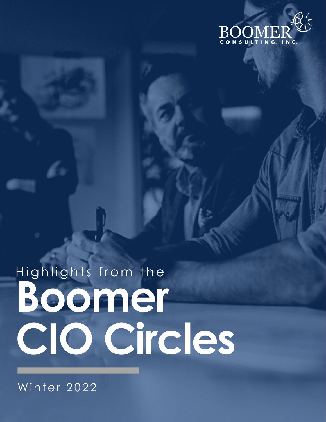

# Highlights from the Boomer CIO Circles

Winter 2022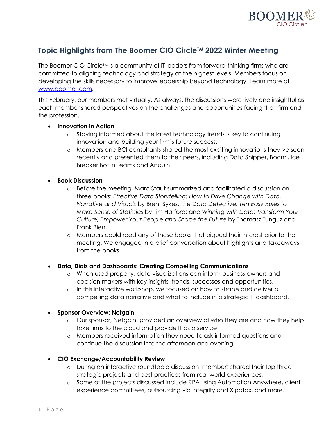

# **Topic Highlights from The Boomer CIO CircleTM 2022 Winter Meeting**

The Boomer CIO Circle<sup>TM</sup> is a community of IT leaders from forward-thinking firms who are committed to aligning technology and strategy at the highest levels. Members focus on developing the skills necessary to improve leadership beyond technology. Learn more at www.boomer.com.

This February, our members met virtually. As always, the discussions were lively and insightful as each member shared perspectives on the challenges and opportunities facing their firm and the profession.

#### • **Innovation in Action**

- o Staying informed about the latest technology trends is key to continuing innovation and building your firm's future success.
- o Members and BCI consultants shared the most exciting innovations they've seen recently and presented them to their peers, including Data Snipper, Boomi, Ice Breaker Bot in Teams and Anduin.

## • **Book Discussion**

- o Before the meeting, Marc Staut summarized and facilitated a discussion on three books: *Effective Data Storytelling: How to Drive Change with Data, Narrative and Visuals* by Brent Sykes; *The Data Detective: Ten Easy Rules to Make Sense of Statistics* by Tim Harford; and *Winning with Data: Transform Your Culture, Empower Your People and Shape the Future* by Thomasz Tunguz and Frank Bien.
- o Members could read any of these books that piqued their interest prior to the meeting. We engaged in a brief conversation about highlights and takeaways from the books.

## • **Data, Dials and Dashboards: Creating Compelling Communications**

- o When used properly, data visualizations can inform business owners and decision makers with key insights, trends, successes and opportunities.
- o In this interactive workshop, we focused on how to shape and deliver a compelling data narrative and what to include in a strategic IT dashboard.

## • **Sponsor Overview: Netgain**

- o Our sponsor, Netgain, provided an overview of who they are and how they help take firms to the cloud and provide IT as a service.
- o Members received information they need to ask informed questions and continue the discussion into the afternoon and evening.

## • **CIO Exchange/Accountability Review**

- o During an interactive roundtable discussion, members shared their top three strategic projects and best practices from real-world experiences.
- o Some of the projects discussed include RPA using Automation Anywhere, client experience committees, outsourcing via Integrity and Xipatax, and more.